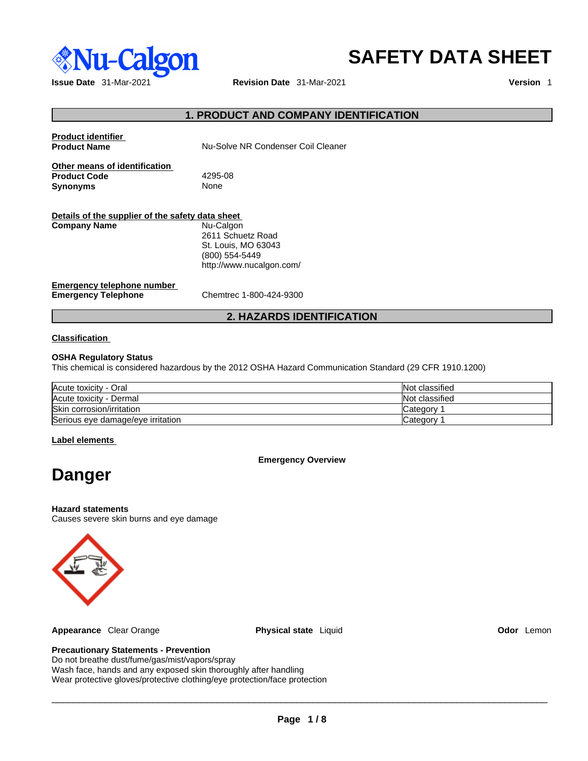

# **SAFETY DATA SHEET**

**Issue Date** 31-Mar-2021 **Revision Date** 31-Mar-2021 **Version** 1

## **1. PRODUCT AND COMPANY IDENTIFICATION**

| <b>Product identifier</b><br><b>Product Name</b>                        | Nu-Solve NR Condenser Coil Cleaner                                                                  |
|-------------------------------------------------------------------------|-----------------------------------------------------------------------------------------------------|
| Other means of identification<br><b>Product Code</b><br><b>Synonyms</b> | 4295-08<br><b>None</b>                                                                              |
| Details of the supplier of the safety data sheet<br><b>Company Name</b> | Nu-Calgon<br>2611 Schuetz Road<br>St. Louis, MO 63043<br>(800) 554-5449<br>http://www.nucalgon.com/ |
| Emergency telephone number<br><b>Emergency Telephone</b>                | Chemtrec 1-800-424-9300                                                                             |

## **2. HAZARDS IDENTIFICATION**

### **Classification**

#### **OSHA Regulatory Status**

This chemical is considered hazardous by the 2012 OSHA Hazard Communication Standard (29 CFR 1910.1200)

| Acute toxicity - Oral             | Not classified |
|-----------------------------------|----------------|
| Acute toxicity - Dermal           | Not classified |
| Skin corrosion/irritation         | Category       |
| Serious eye damage/eye irritation | Category 1     |

#### **Label elements**

**Emergency Overview** 

## **Danger**

#### **Hazard statements**

Causes severe skin burns and eye damage



**Appearance** Clear Orange **Physical state** Liquid **Odor** Lemon

## **Precautionary Statements - Prevention**

Do not breathe dust/fume/gas/mist/vapors/spray Wash face, hands and any exposed skin thoroughly after handling Wear protective gloves/protective clothing/eye protection/face protection

 $\_$  ,  $\_$  ,  $\_$  ,  $\_$  ,  $\_$  ,  $\_$  ,  $\_$  ,  $\_$  ,  $\_$  ,  $\_$  ,  $\_$  ,  $\_$  ,  $\_$  ,  $\_$  ,  $\_$  ,  $\_$  ,  $\_$  ,  $\_$  ,  $\_$  ,  $\_$  ,  $\_$  ,  $\_$  ,  $\_$  ,  $\_$  ,  $\_$  ,  $\_$  ,  $\_$  ,  $\_$  ,  $\_$  ,  $\_$  ,  $\_$  ,  $\_$  ,  $\_$  ,  $\_$  ,  $\_$  ,  $\_$  ,  $\_$  ,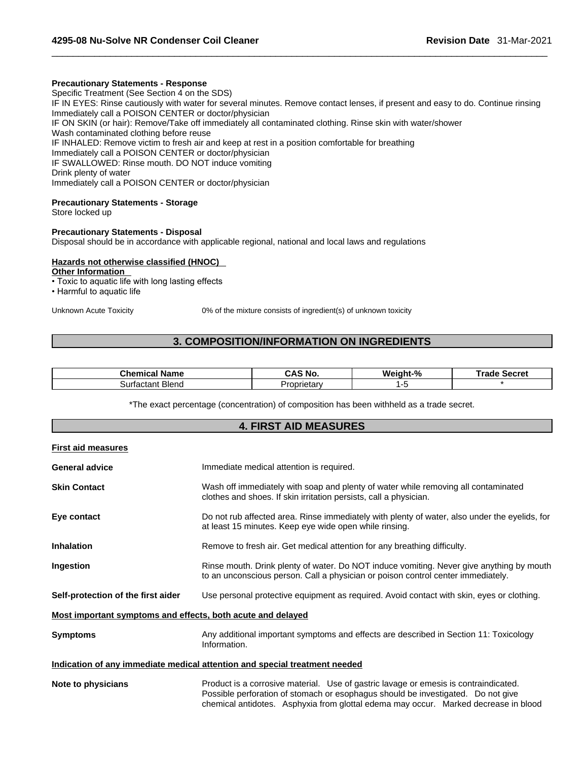#### **Precautionary Statements - Response**

Specific Treatment (See Section 4 on the SDS) IF IN EYES: Rinse cautiously with water for several minutes. Remove contact lenses, if present and easy to do. Continue rinsing Immediately call a POISON CENTER or doctor/physician IF ON SKIN (or hair): Remove/Take off immediately all contaminated clothing. Rinse skin with water/shower Wash contaminated clothing before reuse IF INHALED: Remove victim to fresh air and keep at rest in a position comfortable for breathing Immediately call a POISON CENTER or doctor/physician IF SWALLOWED: Rinse mouth. DO NOT induce vomiting Drink plenty of water Immediately call a POISON CENTER or doctor/physician

#### **Precautionary Statements - Storage**

Store locked up

#### **Precautionary Statements - Disposal**

Disposal should be in accordance with applicable regional, national and local laws and regulations

#### **Hazards not otherwise classified (HNOC)**

**Other Information** 

- Toxic to aquatic life with long lasting effects
- Harmful to aquatic life

Unknown Acute Toxicity 0% of the mixture consists of ingredient(s) of unknown toxicity

## **3. COMPOSITION/INFORMATION ON INGREDIENTS**

| Chemica<br>Name            | CAS N<br>™ No.               | Weight-%<br>7٥ | iarrat<br>⊺rad⊧<br>うせししせい |
|----------------------------|------------------------------|----------------|---------------------------|
| <b>Blend</b><br>Surtactant | .<br>$. \,1. \,$<br>prietary |                |                           |

\*The exact percentage (concentration) of composition has been withheld as a trade secret.

| <b>4. FIRST AID MEASURES</b>                                |                                                                                                                                                                                                                                                                 |  |
|-------------------------------------------------------------|-----------------------------------------------------------------------------------------------------------------------------------------------------------------------------------------------------------------------------------------------------------------|--|
| <b>First aid measures</b>                                   |                                                                                                                                                                                                                                                                 |  |
| <b>General advice</b>                                       | Immediate medical attention is required.                                                                                                                                                                                                                        |  |
| <b>Skin Contact</b>                                         | Wash off immediately with soap and plenty of water while removing all contaminated<br>clothes and shoes. If skin irritation persists, call a physician.                                                                                                         |  |
| Eye contact                                                 | Do not rub affected area. Rinse immediately with plenty of water, also under the eyelids, for<br>at least 15 minutes. Keep eye wide open while rinsing.                                                                                                         |  |
| <b>Inhalation</b>                                           | Remove to fresh air. Get medical attention for any breathing difficulty.                                                                                                                                                                                        |  |
| Ingestion                                                   | Rinse mouth. Drink plenty of water. Do NOT induce vomiting. Never give anything by mouth<br>to an unconscious person. Call a physician or poison control center immediately.                                                                                    |  |
| Self-protection of the first aider                          | Use personal protective equipment as required. Avoid contact with skin, eyes or clothing.                                                                                                                                                                       |  |
| Most important symptoms and effects, both acute and delayed |                                                                                                                                                                                                                                                                 |  |
| <b>Symptoms</b>                                             | Any additional important symptoms and effects are described in Section 11: Toxicology<br>Information.                                                                                                                                                           |  |
|                                                             | Indication of any immediate medical attention and special treatment needed                                                                                                                                                                                      |  |
| Note to physicians                                          | Product is a corrosive material. Use of gastric lavage or emesis is contraindicated.<br>Possible perforation of stomach or esophagus should be investigated. Do not give<br>chemical antidotes. Asphyxia from glottal edema may occur. Marked decrease in blood |  |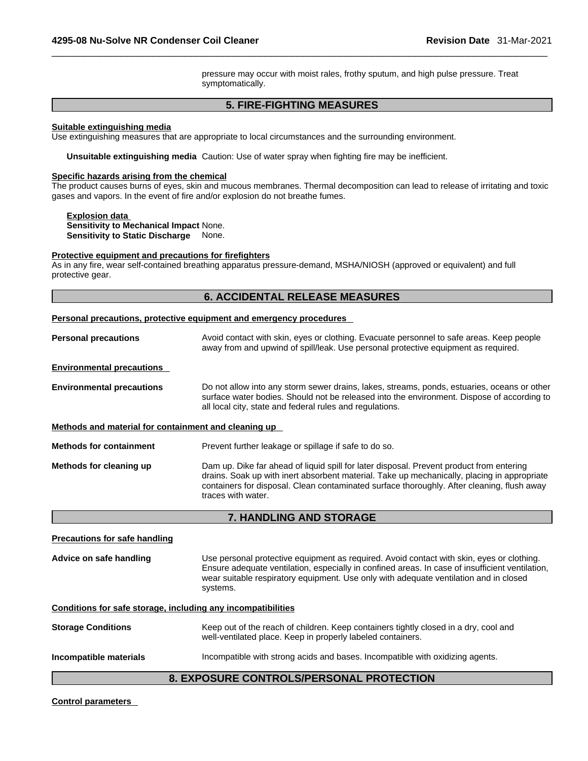pressure may occur with moist rales, frothy sputum, and high pulse pressure. Treat symptomatically.

## **5. FIRE-FIGHTING MEASURES**

#### **Suitable extinguishing media**

Use extinguishing measures that are appropriate to local circumstances and the surrounding environment.

**Unsuitable extinguishing media** Caution: Use of water spray when fighting fire may be inefficient.

#### **Specific hazards arising from the chemical**

The product causes burns of eyes, skin and mucous membranes. Thermal decomposition can lead to release of irritating and toxic gases and vapors. In the event of fire and/or explosion do not breathe fumes.

**Explosion data Sensitivity to Mechanical Impact** None. **Sensitivity to Static Discharge** None.

#### **Protective equipment and precautions for firefighters**

As in any fire, wear self-contained breathing apparatus pressure-demand, MSHA/NIOSH (approved or equivalent) and full protective gear.

## **6. ACCIDENTAL RELEASE MEASURES**

|                                                      | <b>Personal precautions, protective equipment and emergency procedures</b>                                                                                                                                                                                                                                  |
|------------------------------------------------------|-------------------------------------------------------------------------------------------------------------------------------------------------------------------------------------------------------------------------------------------------------------------------------------------------------------|
| <b>Personal precautions</b>                          | Avoid contact with skin, eyes or clothing. Evacuate personnel to safe areas. Keep people<br>away from and upwind of spill/leak. Use personal protective equipment as required.                                                                                                                              |
| <b>Environmental precautions</b>                     |                                                                                                                                                                                                                                                                                                             |
| <b>Environmental precautions</b>                     | Do not allow into any storm sewer drains, lakes, streams, ponds, estuaries, oceans or other<br>surface water bodies. Should not be released into the environment. Dispose of according to<br>all local city, state and federal rules and regulations.                                                       |
| Methods and material for containment and cleaning up |                                                                                                                                                                                                                                                                                                             |
| <b>Methods for containment</b>                       | Prevent further leakage or spillage if safe to do so.                                                                                                                                                                                                                                                       |
| Methods for cleaning up                              | Dam up. Dike far ahead of liquid spill for later disposal. Prevent product from entering<br>drains. Soak up with inert absorbent material. Take up mechanically, placing in appropriate<br>containers for disposal. Clean contaminated surface thoroughly. After cleaning, flush away<br>traces with water. |
|                                                      |                                                                                                                                                                                                                                                                                                             |

## **7. HANDLING AND STORAGE**

| <b>Precautions for safe handling</b>                         |                                                                                                                                                                                                                                                                                                   |
|--------------------------------------------------------------|---------------------------------------------------------------------------------------------------------------------------------------------------------------------------------------------------------------------------------------------------------------------------------------------------|
| Advice on safe handling                                      | Use personal protective equipment as required. Avoid contact with skin, eyes or clothing.<br>Ensure adequate ventilation, especially in confined areas. In case of insufficient ventilation,<br>wear suitable respiratory equipment. Use only with adequate ventilation and in closed<br>systems. |
| Conditions for safe storage, including any incompatibilities |                                                                                                                                                                                                                                                                                                   |
| <b>Storage Conditions</b>                                    | Keep out of the reach of children. Keep containers tightly closed in a dry, cool and<br>well-ventilated place. Keep in properly labeled containers.                                                                                                                                               |
| Incompatible materials                                       | Incompatible with strong acids and bases. Incompatible with oxidizing agents.                                                                                                                                                                                                                     |
|                                                              | 8. EXPOSURE CONTROLS/PERSONAL PROTECTION                                                                                                                                                                                                                                                          |

#### **Control parameters**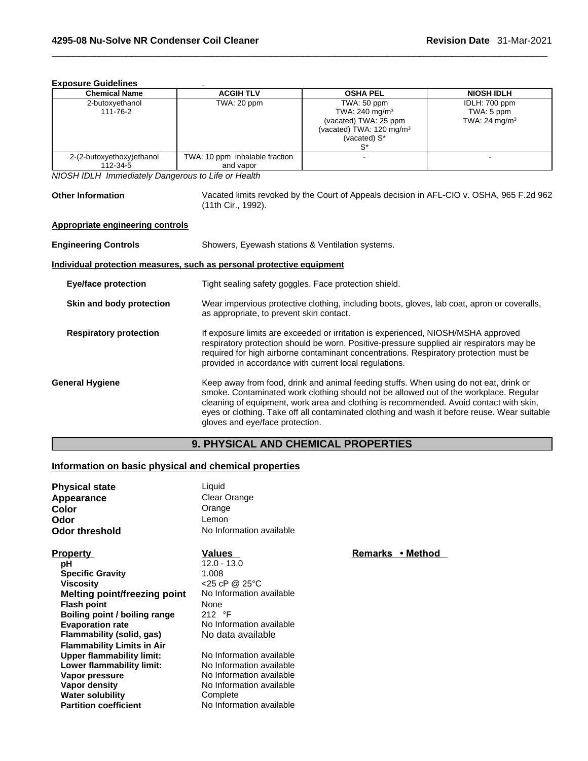#### **Exposure Guidelines** .

| <b>Chemical Name</b>      | <b>ACGIH TLV</b>               | <b>OSHA PEL</b>                     | <b>NIOSH IDLH</b>         |
|---------------------------|--------------------------------|-------------------------------------|---------------------------|
| 2-butoxyethanol           | TWA: 20 ppm                    | TWA: 50 ppm                         | IDLH: 700 ppm             |
| 111-76-2                  |                                | TWA: $240 \text{ mg/m}^3$           | TWA: 5 ppm                |
|                           |                                | (vacated) TWA: 25 ppm               | TWA: 24 mg/m <sup>3</sup> |
|                           |                                | (vacated) TWA: $120 \text{ mg/m}^3$ |                           |
|                           |                                | (vacated) S*                        |                           |
|                           |                                |                                     |                           |
| 2-(2-butoxyethoxy)ethanol | TWA: 10 ppm inhalable fraction |                                     |                           |
| 112-34-5                  | and vapor                      |                                     |                           |

*NIOSH IDLH Immediately Dangerous to Life or Health* 

**Other Information** Vacated limits revoked by the Court of Appeals decision in AFL-CIO v.OSHA, 965 F.2d 962 (11th Cir., 1992).

#### **Appropriate engineering controls**

| <b>Engineering Controls</b>   | Showers, Eyewash stations & Ventilation systems.                                                                                                                                                                                                                                                                                                                                                            |  |  |
|-------------------------------|-------------------------------------------------------------------------------------------------------------------------------------------------------------------------------------------------------------------------------------------------------------------------------------------------------------------------------------------------------------------------------------------------------------|--|--|
|                               | Individual protection measures, such as personal protective equipment                                                                                                                                                                                                                                                                                                                                       |  |  |
| <b>Eye/face protection</b>    | Tight sealing safety goggles. Face protection shield.                                                                                                                                                                                                                                                                                                                                                       |  |  |
| Skin and body protection      | Wear impervious protective clothing, including boots, gloves, lab coat, apron or coveralls,<br>as appropriate, to prevent skin contact.                                                                                                                                                                                                                                                                     |  |  |
| <b>Respiratory protection</b> | If exposure limits are exceeded or irritation is experienced, NIOSH/MSHA approved<br>respiratory protection should be worn. Positive-pressure supplied air respirators may be<br>required for high airborne contaminant concentrations. Respiratory protection must be<br>provided in accordance with current local regulations.                                                                            |  |  |
| <b>General Hygiene</b>        | Keep away from food, drink and animal feeding stuffs. When using do not eat, drink or<br>smoke. Contaminated work clothing should not be allowed out of the workplace. Regular<br>cleaning of equipment, work area and clothing is recommended. Avoid contact with skin,<br>eyes or clothing. Take off all contaminated clothing and wash it before reuse. Wear suitable<br>gloves and eye/face protection. |  |  |

## **9. PHYSICAL AND CHEMICAL PROPERTIES**

## **Information on basic physical and chemical properties**

| <b>Physical state</b><br>Appearance<br>Color<br>Odor<br><b>Odor threshold</b> | Liquid<br>Clear Orange<br>Orange<br>Lemon<br>No Information available |                  |  |
|-------------------------------------------------------------------------------|-----------------------------------------------------------------------|------------------|--|
|                                                                               |                                                                       |                  |  |
| <b>Property</b>                                                               | Values                                                                | Remarks • Method |  |
| рH                                                                            | $12.0 - 13.0$                                                         |                  |  |
| <b>Specific Gravity</b>                                                       | 1.008                                                                 |                  |  |
| <b>Viscosity</b>                                                              | $<$ 25 cP @ 25 $\degree$ C                                            |                  |  |
| Melting point/freezing point                                                  | No Information available                                              |                  |  |
| <b>Flash point</b>                                                            | None                                                                  |                  |  |
| Boiling point / boiling range                                                 | 212 °F                                                                |                  |  |
| <b>Evaporation rate</b>                                                       | No Information available                                              |                  |  |
| Flammability (solid, gas)                                                     | No data available                                                     |                  |  |
| <b>Flammability Limits in Air</b>                                             |                                                                       |                  |  |
| <b>Upper flammability limit:</b>                                              | No Information available                                              |                  |  |
| Lower flammability limit:                                                     | No Information available                                              |                  |  |
| Vapor pressure                                                                | No Information available                                              |                  |  |
| Vapor density                                                                 | No Information available                                              |                  |  |
| <b>Water solubility</b>                                                       | Complete                                                              |                  |  |
| <b>Partition coefficient</b>                                                  | No Information available                                              |                  |  |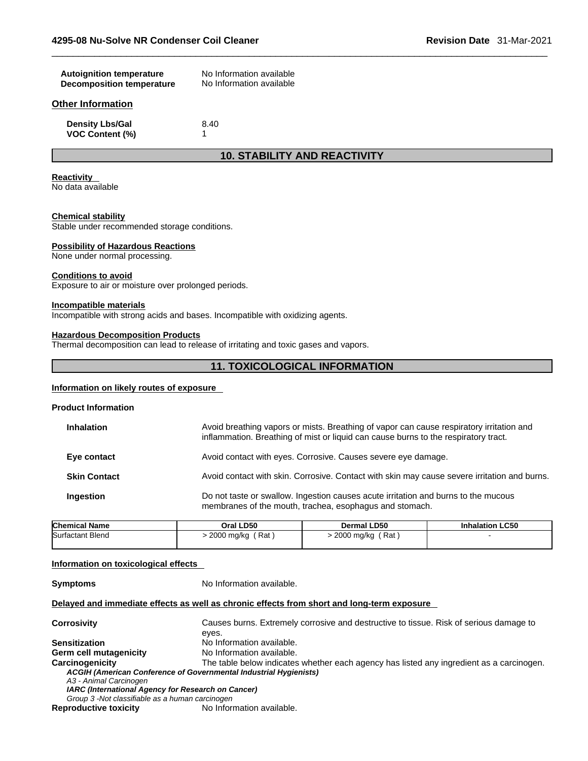| <b>Autoignition temperature</b><br><b>Decomposition temperature</b> | No Information available<br>No Information available |  |
|---------------------------------------------------------------------|------------------------------------------------------|--|
| Other Information                                                   |                                                      |  |

**Density Lbs/Gal** 8.40 **VOC Content (%)** 1

## **10. STABILITY AND REACTIVITY**

#### **Reactivity**

No data available

#### **Chemical stability**

Stable under recommended storage conditions.

#### **Possibility of Hazardous Reactions**

None under normal processing.

#### **Conditions to avoid**

Exposure to air or moisture over prolonged periods.

#### **Incompatible materials**

Incompatible with strong acids and bases. Incompatible with oxidizing agents.

#### **Hazardous Decomposition Products**

Thermal decomposition can lead to release of irritating and toxic gases and vapors.

### **11. TOXICOLOGICAL INFORMATION**

#### **Information on likely routes of exposure**

#### **Product Information**

| <b>Inhalation</b>   | Avoid breathing vapors or mists. Breathing of vapor can cause respiratory irritation and<br>inflammation. Breathing of mist or liquid can cause burns to the respiratory tract. |
|---------------------|---------------------------------------------------------------------------------------------------------------------------------------------------------------------------------|
| Eye contact         | Avoid contact with eyes. Corrosive. Causes severe eye damage.                                                                                                                   |
| <b>Skin Contact</b> | Avoid contact with skin. Corrosive. Contact with skin may cause severe irritation and burns.                                                                                    |
| Ingestion           | Do not taste or swallow. Ingestion causes acute irritation and burns to the mucous<br>membranes of the mouth, trachea, esophagus and stomach.                                   |

| <b>Chemical Name</b> | Oral LD50           | Dermal LD50       | <b>Inhalation LC50</b> |
|----------------------|---------------------|-------------------|------------------------|
| Surfactant Blend     | (Rat)<br>2000 mg/kg | 2000 mg/kg<br>Rat |                        |
|                      |                     |                   |                        |

#### **Information on toxicological effects**

**Symptoms** No Information available.

#### **Delayed and immediate effects as well as chronic effects from short and long-term exposure**

**Corrosivity** Causes burns. Extremely corrosive and destructive to tissue. Risk of serious damage to eyes. **Sensitization** No Information available. **Germ cell mutagenicity** No Information available. **Carcinogenicity** The table below indicateswhether each agency has listed any ingredient as a carcinogen. *ACGIH (American Conference of Governmental Industrial Hygienists) A3 - Animal Carcinogen IARC (International Agency for Research on Cancer) Group 3 -Not classifiable as a human carcinogen* 

**Reproductive toxicity**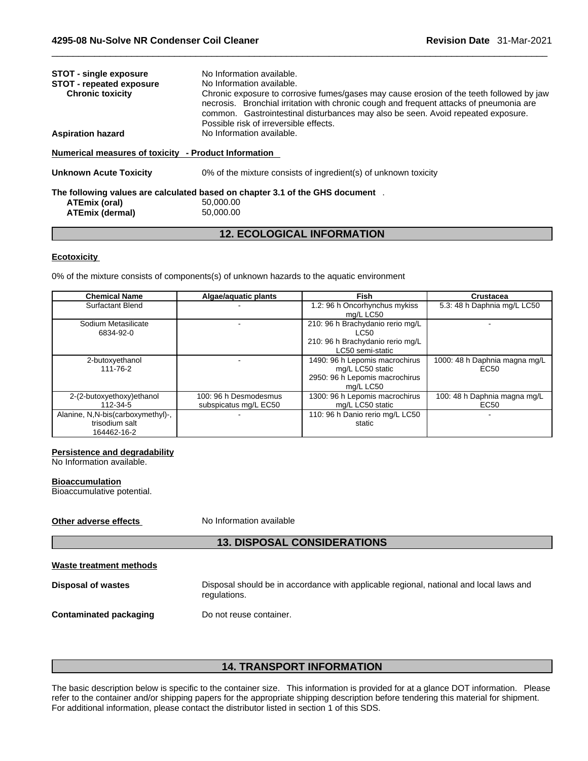| <b>STOT - single exposure</b>                          | No Information available.                                                                                                                                                                                                                                                                                         |
|--------------------------------------------------------|-------------------------------------------------------------------------------------------------------------------------------------------------------------------------------------------------------------------------------------------------------------------------------------------------------------------|
| STOT - repeated exposure                               | No Information available.                                                                                                                                                                                                                                                                                         |
| <b>Chronic toxicity</b>                                | Chronic exposure to corrosive fumes/gases may cause erosion of the teeth followed by jaw<br>necrosis. Bronchial irritation with chronic cough and frequent attacks of pneumonia are<br>common. Gastrointestinal disturbances may also be seen. Avoid repeated exposure.<br>Possible risk of irreversible effects. |
| Aspiration hazard                                      | No Information available.                                                                                                                                                                                                                                                                                         |
| Numerical measures of toxicitv   - Product Information |                                                                                                                                                                                                                                                                                                                   |
| Unknown Acute Toxicity                                 | 0% of the mixture consists of ingredient(s) of unknown toxicity                                                                                                                                                                                                                                                   |
|                                                        | The following values are calculated based on chapter 3.1 of the GHS document $\;$ .                                                                                                                                                                                                                               |
| ATEmix (oral)<br><b>ATEmix (dermal)</b>                | 50.000.00<br>50,000,00                                                                                                                                                                                                                                                                                            |
|                                                        |                                                                                                                                                                                                                                                                                                                   |

## **12. ECOLOGICAL INFORMATION**

#### **Ecotoxicity**

0% of the mixture consists of components(s) of unknown hazards to the aquatic environment

| <b>Chemical Name</b>                                               | Algae/aquatic plants                           | Fish                                                                                              | <b>Crustacea</b>                                  |
|--------------------------------------------------------------------|------------------------------------------------|---------------------------------------------------------------------------------------------------|---------------------------------------------------|
| <b>Surfactant Blend</b>                                            |                                                | 1.2: 96 h Oncorhynchus mykiss<br>mg/L LC50                                                        | 5.3: 48 h Daphnia mg/L LC50                       |
| Sodium Metasilicate<br>6834-92-0                                   |                                                | 210: 96 h Brachydanio rerio mg/L<br>LC50<br>210: 96 h Brachydanio rerio mg/L<br>LC50 semi-static  |                                                   |
| 2-butoxyethanol<br>111-76-2                                        |                                                | 1490: 96 h Lepomis macrochirus<br>mg/L LC50 static<br>2950: 96 h Lepomis macrochirus<br>mg/L LC50 | 1000: 48 h Daphnia magna mg/L<br>EC <sub>50</sub> |
| 2-(2-butoxyethoxy) ethanol<br>112-34-5                             | 100: 96 h Desmodesmus<br>subspicatus mg/L EC50 | 1300: 96 h Lepomis macrochirus<br>mg/L LC50 static                                                | 100: 48 h Daphnia magna mg/L<br>EC50              |
| Alanine, N,N-bis(carboxymethyl)-,<br>trisodium salt<br>164462-16-2 |                                                | 110: 96 h Danio rerio mg/L LC50<br>static                                                         |                                                   |

#### **Persistence and degradability**

No Information available.

#### **Bioaccumulation**

Bioaccumulative potential.

## **Other adverse effects** No Information available

## **13. DISPOSAL CONSIDERATIONS**

| Waste treatment methods   |              |
|---------------------------|--------------|
| <b>Disposal of wastes</b> | Disposal sho |

**posal should be in accordance with applicable regional, national and local laws and** regulations.

**Contaminated packaging** Do not reuse container.

## **14. TRANSPORT INFORMATION**

The basic description below is specific to the container size. This information is provided for at a glance DOT information. Please refer to the container and/or shipping papers for the appropriate shipping description before tendering this material for shipment. For additional information, please contact the distributor listed in section 1 of this SDS.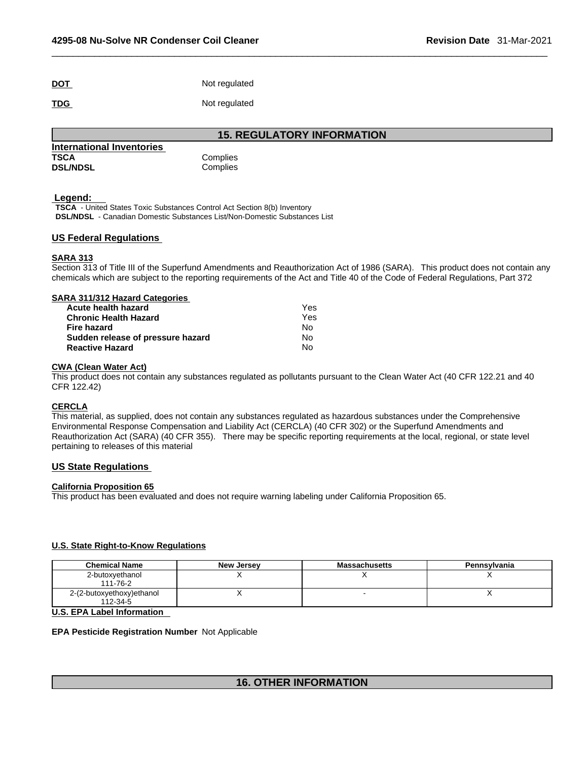| <b>DOT</b> | Not regulated |
|------------|---------------|
| <b>TDG</b> | Not regulated |

**15. REGULATORY INFORMATION** 

| International Inventories |          |
|---------------------------|----------|
| TSCA                      | Complies |
| <b>DSL/NDSL</b>           | Complies |

#### **Legend:**

**TSCA** - United States Toxic Substances Control Act Section 8(b) Inventory **DSL/NDSL** - Canadian Domestic Substances List/Non-Domestic Substances List

#### **US Federal Regulations**

#### **SARA 313**

Section 313 of Title III of the Superfund Amendments and Reauthorization Act of 1986 (SARA). This product does not contain any chemicals which are subject to the reporting requirements of the Act and Title 40 of the Code of Federal Regulations, Part 372

| SARA 311/312 Hazard Categories    |     |  |
|-----------------------------------|-----|--|
| Acute health hazard               | Yes |  |
| <b>Chronic Health Hazard</b>      | Yes |  |
| Fire hazard                       | N٥  |  |
| Sudden release of pressure hazard | Nο  |  |

**Reactive Hazard** No

#### **CWA** (Clean Water Act)

This product does not contain any substances regulated as pollutants pursuant to the Clean Water Act (40 CFR 122.21 and 40 CFR 122.42)

#### **CERCLA**

This material, as supplied, does not contain any substances regulated as hazardous substances under the Comprehensive Environmental Response Compensation and Liability Act (CERCLA) (40 CFR 302) or the Superfund Amendments and Reauthorization Act (SARA) (40 CFR 355). There may be specific reporting requirements at the local, regional, or state level pertaining to releases of this material

#### **US State Regulations**

#### **California Proposition 65**

This product has been evaluated and does not require warning labeling under California Proposition 65.

#### **U.S. State Right-to-Know Regulations**

| <b>Chemical Name</b>                  | <b>New Jersey</b> | <b>Massachusetts</b> | Pennsylvania |
|---------------------------------------|-------------------|----------------------|--------------|
| 2-butoxyethanol<br>111-76-2           |                   |                      |              |
| 2-(2-butoxyethoxy)ethanol<br>112-34-5 |                   |                      |              |

## **U.S. EPA Label Information**

#### **EPA Pesticide Registration Number** Not Applicable

## **16. OTHER INFORMATION**